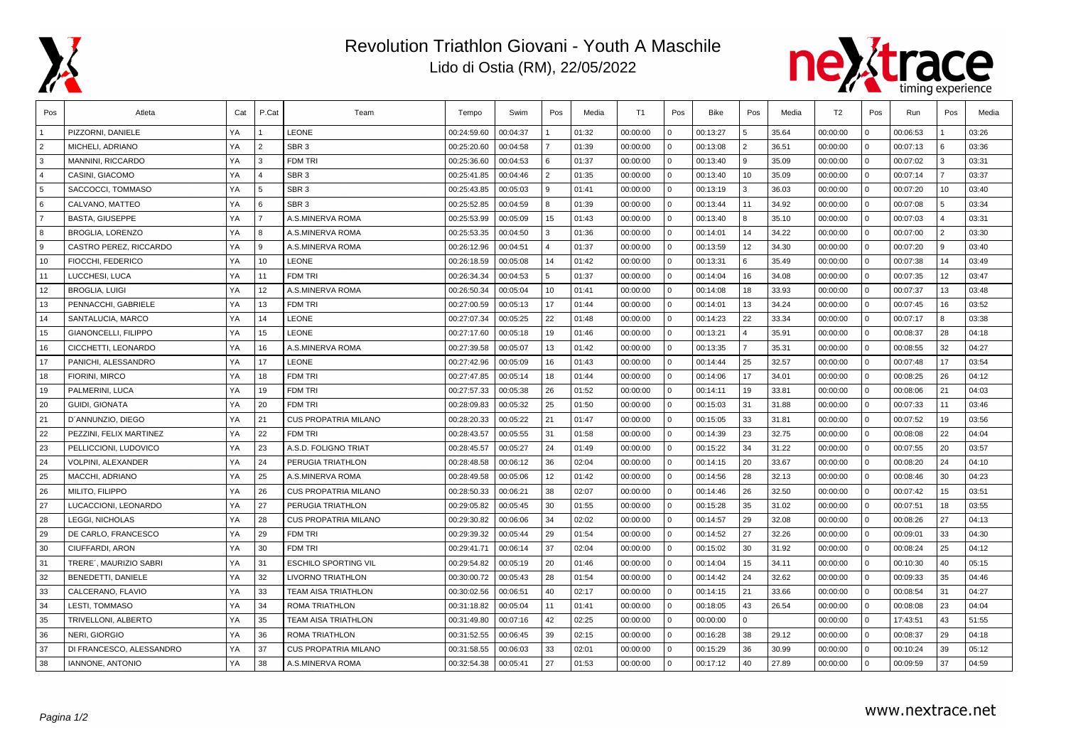

## Revolution Triathlon Giovani - Youth A Maschile Lido di Ostia (RM), 22/05/2022



| Pos            | Atleta                      | Cat | P.Cat          | Team                        | Tempo       | Swim     | Pos            | Media | T1       | Pos            | <b>Bike</b> | Pos            | Media | T <sub>2</sub> | Pos            | Run      | Pos            | Media |
|----------------|-----------------------------|-----|----------------|-----------------------------|-------------|----------|----------------|-------|----------|----------------|-------------|----------------|-------|----------------|----------------|----------|----------------|-------|
|                | PIZZORNI. DANIELE           | YA  |                | <b>LEONE</b>                | 00:24:59.60 | 00:04:37 |                | 01:32 | 00:00:00 | $\Omega$       | 00:13:27    | $\overline{5}$ | 35.64 | 00:00:00       | $\Omega$       | 00:06:53 |                | 03:26 |
| $\overline{2}$ | MICHELI, ADRIANO            | YA  | $\overline{2}$ | SBR <sub>3</sub>            | 00:25:20.60 | 00:04:58 |                | 01:39 | 00:00:00 | $\mathbf 0$    | 00:13:08    | 2              | 36.51 | 00:00:00       | $\Omega$       | 00:07:13 | 6              | 03:36 |
| 3              | <b>MANNINI, RICCARDO</b>    | YA  | $\mathbf{3}$   | <b>FDM TRI</b>              | 00:25:36.60 | 00:04:53 | 6              | 01:37 | 00:00:00 | $\mathbf{0}$   | 00:13:40    | l 9            | 35.09 | 00:00:00       | $\Omega$       | 00:07:02 | <sup>3</sup>   | 03:31 |
| $\overline{a}$ | CASINI, GIACOMO             | YA  | $\overline{4}$ | SBR <sub>3</sub>            | 00:25:41.85 | 00:04:46 | $\overline{2}$ | 01:35 | 00:00:00 | $\mathbf 0$    | 00:13:40    | 10             | 35.09 | 00:00:00       | $\mathbf{0}$   | 00:07:14 | $\overline{7}$ | 03:37 |
| 5              | SACCOCCI, TOMMASO           | YA  | 5              | SBR <sub>3</sub>            | 00:25:43.85 | 00:05:03 | 9              | 01:41 | 00:00:00 | 0              | 00:13:19    | 3              | 36.03 | 00:00:00       | $\overline{0}$ | 00:07:20 | 10             | 03:40 |
| 6              | CALVANO, MATTEO             | YA  | 6              | SBR <sub>3</sub>            | 00:25:52.85 | 00:04:59 | 8              | 01:39 | 00:00:00 | $\overline{0}$ | 00:13:44    | 11             | 34.92 | 00:00:00       | 0              | 00:07:08 | 5              | 03:34 |
| $\overline{7}$ | <b>BASTA, GIUSEPPE</b>      | YA  | $\overline{7}$ | A.S.MINERVA ROMA            | 00:25:53.99 | 00:05:09 | 15             | 01:43 | 00:00:00 | $\overline{0}$ | 00:13:40    | 8              | 35.10 | 00:00:00       | $\overline{0}$ | 00:07:03 | $\overline{4}$ | 03:31 |
| 8              | <b>BROGLIA, LORENZO</b>     | YA  | 8              | A.S.MINERVA ROMA            | 00:25:53.35 | 00:04:50 | 3              | 01:36 | 00:00:00 | $\overline{0}$ | 00:14:01    | 14             | 34.22 | 00:00:00       | $\mathbf{0}$   | 00:07:00 | <u>2</u>       | 03:30 |
| 9              | CASTRO PEREZ, RICCARDO      | YA  | 9              | A.S.MINERVA ROMA            | 00:26:12.96 | 00:04:51 | $\overline{4}$ | 01:37 | 00:00:00 | $\overline{0}$ | 00:13:59    | 12             | 34.30 | 00:00:00       | $\mathbf{0}$   | 00:07:20 | l 9            | 03:40 |
| 10             | FIOCCHI. FEDERICO           | YA  | 10             | <b>LEONE</b>                | 00:26:18.59 | 00:05:08 | 14             | 01:42 | 00:00:00 | $\Omega$       | 00:13:31    | 6              | 35.49 | 00:00:00       | $\Omega$       | 00:07:38 | 14             | 03:49 |
| 11             | LUCCHESI, LUCA              | YA  | 11             | <b>FDM TRI</b>              | 00:26:34.34 | 00:04:53 | 5              | 01:37 | 00:00:00 | $\mathbf 0$    | 00:14:04    | 16             | 34.08 | 00:00:00       | $\mathbf{0}$   | 00:07:35 | 12             | 03:47 |
| 12             | <b>BROGLIA, LUIGI</b>       | YA  | 12             | A.S.MINERVA ROMA            | 00:26:50.34 | 00:05:04 | 10             | 01:41 | 00:00:00 | $\Omega$       | 00:14:08    | 18             | 33.93 | 00:00:00       | $\Omega$       | 00:07:37 | 13             | 03:48 |
| 13             | PENNACCHI, GABRIELE         | YA  | 13             | <b>FDM TRI</b>              | 00:27:00.59 | 00:05:13 | 17             | 01:44 | 00:00:00 | $\Omega$       | 00:14:01    | 13             | 34.24 | 00:00:00       | $\Omega$       | 00:07:45 | 16             | 03:52 |
| 14             | SANTALUCIA, MARCO           | YA  | 14             | <b>LEONE</b>                | 00:27:07.34 | 00:05:25 | 22             | 01:48 | 00:00:00 | $\overline{0}$ | 00:14:23    | 22             | 33.34 | 00:00:00       | 0              | 00:07:17 | 8              | 03:38 |
| 15             | <b>GIANONCELLI, FILIPPO</b> | YA  | 15             | <b>LEONE</b>                | 00:27:17.60 | 00:05:18 | 19             | 01:46 | 00:00:00 | $\mathbf 0$    | 00:13:21    | $\overline{4}$ | 35.91 | 00:00:00       | $\mathbf{0}$   | 00:08:37 | 28             | 04:18 |
| 16             | CICCHETTI, LEONARDO         | YA  | 16             | A.S.MINERVA ROMA            | 00:27:39.58 | 00:05:07 | 13             | 01:42 | 00:00:00 | $\overline{0}$ | 00:13:35    | $\overline{7}$ | 35.31 | 00:00:00       | 0              | 00:08:55 | 32             | 04:27 |
| 17             | PANICHI, ALESSANDRO         | YA  | 17             | <b>LEONE</b>                | 00:27:42.96 | 00:05:09 | 16             | 01:43 | 00:00:00 | $\overline{0}$ | 00:14:44    | 25             | 32.57 | 00:00:00       | 0              | 00:07:48 | 17             | 03:54 |
| 18             | FIORINI, MIRCO              | YA  | 18             | <b>FDM TRI</b>              | 00:27:47.85 | 00:05:14 | 18             | 01:44 | 00:00:00 | $\overline{0}$ | 00:14:06    | 17             | 34.01 | 00:00:00       | $\mathbf{0}$   | 00:08:25 | 26             | 04:12 |
| 19             | PALMERINI, LUCA             | YA  | 19             | <b>FDM TRI</b>              | 00:27:57.33 | 00:05:38 | 26             | 01:52 | 00:00:00 | 0              | 00:14:11    | 19             | 33.81 | 00:00:00       | $\cap$         | 00:08:06 | 21             | 04:03 |
| 20             | <b>GUIDI, GIONATA</b>       | YA  | 20             | <b>FDM TRI</b>              | 00:28:09.83 | 00:05:32 | 25             | 01:50 | 00:00:00 | $\overline{0}$ | 00:15:03    | 31             | 31.88 | 00:00:00       | $\Omega$       | 00:07:33 | 11             | 03:46 |
| 21             | D'ANNUNZIO, DIEGO           | YA  | 21             | <b>CUS PROPATRIA MILANO</b> | 00:28:20.33 | 00:05:22 | 21             | 01:47 | 00:00:00 | $\overline{0}$ | 00:15:05    | 33             | 31.81 | 00:00:00       | $\Omega$       | 00:07:52 | 19             | 03:56 |
| 22             | PEZZINI. FELIX MARTINEZ     | YA  | 22             | <b>FDM TRI</b>              | 00:28:43.57 | 00:05:55 | 31             | 01:58 | 00:00:00 | $\Omega$       | 00:14:39    | 23             | 32.75 | 00:00:00       | $\Omega$       | 00:08:08 | 22             | 04:04 |
| 23             | PELLICCIONI, LUDOVICO       | YA  | 23             | A.S.D. FOLIGNO TRIAT        | 00:28:45.57 | 00:05:27 | 24             | 01:49 | 00:00:00 | $\overline{0}$ | 00:15:22    | 34             | 31.22 | 00:00:00       | $\mathbf{0}$   | 00:07:55 | 20             | 03:57 |
| 24             | <b>VOLPINI, ALEXANDER</b>   | YA  | 24             | PERUGIA TRIATHLON           | 00:28:48.58 | 00:06:12 | 36             | 02:04 | 00:00:00 | $\overline{0}$ | 00:14:15    | 20             | 33.67 | 00:00:00       | $\overline{0}$ | 00:08:20 | 24             | 04:10 |
| 25             | <b>MACCHI, ADRIANO</b>      | YA  | 25             | A.S.MINERVA ROMA            | 00:28:49.58 | 00:05:06 | 12             | 01:42 | 00:00:00 | $\overline{0}$ | 00:14:56    | 28             | 32.13 | 00:00:00       | $\overline{0}$ | 00:08:46 | 30             | 04:23 |
| 26             | MILITO, FILIPPO             | YA  | 26             | <b>CUS PROPATRIA MILANO</b> | 00:28:50.33 | 00:06:21 | 38             | 02:07 | 00:00:00 | 0              | 00:14:46    | 26             | 32.50 | 00:00:00       | $\overline{0}$ | 00:07:42 | 15             | 03:51 |
| 27             | LUCACCIONI. LEONARDO        | YA  | 27             | PERUGIA TRIATHLON           | 00:29:05.82 | 00:05:45 | 30             | 01:55 | 00:00:00 | 0              | 00:15:28    | 35             | 31.02 | 00:00:00       | $\Omega$       | 00:07:51 | 18             | 03:55 |
| 28             | <b>LEGGI, NICHOLAS</b>      | YA  | 28             | <b>CUS PROPATRIA MILANO</b> | 00:29:30.82 | 00:06:06 | 34             | 02:02 | 00:00:00 | 0              | 00:14:57    | 29             | 32.08 | 00:00:00       | $\overline{0}$ | 00:08:26 | 27             | 04:13 |
| 29             | DE CARLO, FRANCESCO         | YA  | 29             | <b>FDM TRI</b>              | 00:29:39.32 | 00:05:44 | 29             | 01:54 | 00:00:00 | $\overline{0}$ | 00:14:52    | 27             | 32.26 | 00:00:00       | $\overline{0}$ | 00:09:01 | 33             | 04:30 |
| 30             | <b>CIUFFARDI, ARON</b>      | YA  | 30             | <b>FDM TRI</b>              | 00:29:41.71 | 00:06:14 | 37             | 02:04 | 00:00:00 | $\mathbf 0$    | 00:15:02    | 30             | 31.92 | 00:00:00       | $\mathbf{0}$   | 00:08:24 | 25             | 04:12 |
| 31             | TRERE'. MAURIZIO SABRI      | YA  | 31             | <b>ESCHILO SPORTING VIL</b> | 00:29:54.82 | 00:05:19 | 20             | 01:46 | 00:00:00 | $\Omega$       | 00:14:04    | 15             | 34.11 | 00:00:00       | $\Omega$       | 00:10:30 | 40             | 05:15 |
| 32             | BENEDETTI, DANIELE          | YA  | 32             | LIVORNO TRIATHLON           | 00:30:00.72 | 00:05:43 | 28             | 01:54 | 00:00:00 | $\Omega$       | 00:14:42    | 24             | 32.62 | 00:00:00       | $\mathbf 0$    | 00:09:33 | 35             | 04:46 |
| 33             | CALCERANO, FLAVIO           | YA  | 33             | TEAM AISA TRIATHLON         | 00:30:02.56 | 00:06:51 | 40             | 02:17 | 00:00:00 | $\overline{0}$ | 00:14:15    | 21             | 33.66 | 00:00:00       | $\overline{0}$ | 00:08:54 | 31             | 04:27 |
| 34             | <b>LESTI. TOMMASO</b>       | YA  | 34             | <b>ROMA TRIATHLON</b>       | 00:31:18.82 | 00:05:04 | 11             | 01:41 | 00:00:00 | $\mathbf 0$    | 00:18:05    | 43             | 26.54 | 00:00:00       | $\mathbf{0}$   | 00:08:08 | 23             | 04:04 |
| 35             | TRIVELLONI, ALBERTO         | YA  | 35             | TEAM AISA TRIATHLON         | 00:31:49.80 | 00:07:16 | 42             | 02:25 | 00:00:00 | $\overline{0}$ | 00:00:00    | 0              |       | 00:00:00       | 0              | 17:43:51 | 43             | 51:55 |
| 36             | NERI, GIORGIO               | YA  | 36             | <b>ROMA TRIATHLON</b>       | 00:31:52.55 | 00:06:45 | 39             | 02:15 | 00:00:00 | $\overline{0}$ | 00:16:28    | 38             | 29.12 | 00:00:00       | $\Omega$       | 00:08:37 | 29             | 04:18 |
| 37             | DI FRANCESCO, ALESSANDRO    | YA  | 37             | <b>CUS PROPATRIA MILANO</b> | 00:31:58.55 | 00:06:03 | 33             | 02:01 | 00:00:00 | 0              | 00:15:29    | 36             | 30.99 | 00:00:00       | $\Omega$       | 00:10:24 | 39             | 05:12 |
| 38             | IANNONE, ANTONIO            | YA  | 38             | A.S.MINERVA ROMA            | 00:32:54.38 | 00:05:41 | 27             | 01:53 | 00:00:00 | $\overline{0}$ | 00:17:12    | 40             | 27.89 | 00:00:00       | $\overline{0}$ | 00:09:59 | 37             | 04:59 |